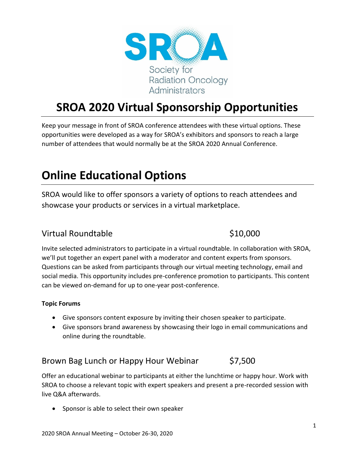

# **SROA 2020 Virtual Sponsorship Opportunities**

Keep your message in front of SROA conference attendees with these virtual options. These opportunities were developed as a way for SROA's exhibitors and sponsors to reach a large number of attendees that would normally be at the SROA 2020 Annual Conference.

# **Online Educational Options**

SROA would like to offer sponsors a variety of options to reach attendees and showcase your products or services in a virtual marketplace.

### Virtual Roundtable **\$10,000**

Invite selected administrators to participate in a virtual roundtable. In collaboration with SROA, we'll put together an expert panel with a moderator and content experts from sponsors. Questions can be asked from participants through our virtual meeting technology, email and social media. This opportunity includes pre-conference promotion to participants. This content can be viewed on-demand for up to one-year post-conference.

#### **Topic Forums**

- Give sponsors content exposure by inviting their chosen speaker to participate.
- Give sponsors brand awareness by showcasing their logo in email communications and online during the roundtable.

## Brown Bag Lunch or Happy Hour Webinar \$7,500

Offer an educational webinar to participants at either the lunchtime or happy hour. Work with SROA to choose a relevant topic with expert speakers and present a pre-recorded session with live Q&A afterwards.

• Sponsor is able to select their own speaker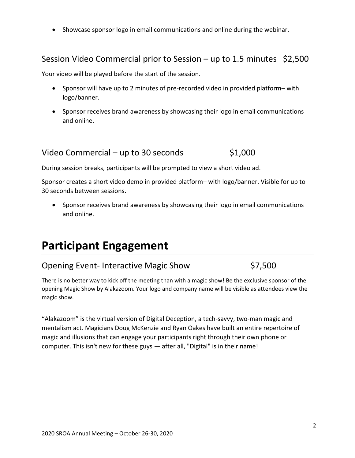Showcase sponsor logo in email communications and online during the webinar.

### Session Video Commercial prior to Session – up to 1.5 minutes \$2,500

Your video will be played before the start of the session.

- Sponsor will have up to 2 minutes of pre-recorded video in provided platform– with logo/banner.
- Sponsor receives brand awareness by showcasing their logo in email communications and online.

### Video Commercial – up to 30 seconds  $$1,000$

During session breaks, participants will be prompted to view a short video ad.

Sponsor creates a short video demo in provided platform– with logo/banner. Visible for up to 30 seconds between sessions.

• Sponsor receives brand awareness by showcasing their logo in email communications and online.

# **Participant Engagement**

## Opening Event- Interactive Magic Show \$7,500

There is no better way to kick off the meeting than with a magic show! Be the exclusive sponsor of the opening Magic Show by Alakazoom. Your logo and company name will be visible as attendees view the magic show.

"Alakazoom" is the virtual version of Digital Deception, a tech-savvy, two-man magic and mentalism act. Magicians Doug McKenzie and Ryan Oakes have built an entire repertoire of magic and illusions that can engage your participants right through their own phone or computer. This isn't new for these guys — after all, "Digital" is in their name!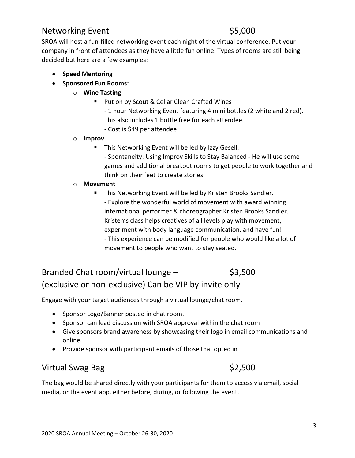## Networking Event \$5,000

SROA will host a fun-filled networking event each night of the virtual conference. Put your company in front of attendees as they have a little fun online. Types of rooms are still being decided but here are a few examples:

- **•** Speed Mentoring
- **•** Sponsored Fun Rooms:
	- o **Wine Tasting**
		- Put on by Scout & Cellar Clean Crafted Wines
			- 1 hour Networking Event featuring 4 mini bottles (2 white and 2 red). This also includes 1 bottle free for each attendee.
			- Cost is \$49 per attendee
	- o **Improv**
		- **This Networking Event will be led by Izzy Gesell.** 
			- Spontaneity: Using Improv Skills to Stay Balanced He will use some games and additional breakout rooms to get people to work together and think on their feet to create stories.

#### o **Movement**

- **This Networking Event will be led by Kristen Brooks Sandler.** 
	- Explore the wonderful world of movement with award winning international performer & choreographer Kristen Brooks Sandler. Kristen's class helps creatives of all levels play with movement, experiment with body language communication, and have fun! - This experience can be modified for people who would like a lot of movement to people who want to stay seated.

# Branded Chat room/virtual lounge  $-$  \$3,500 (exclusive or non-exclusive) Can be VIP by invite only

Engage with your target audiences through a virtual lounge/chat room.

- Sponsor Logo/Banner posted in chat room.
- Sponsor can lead discussion with SROA approval within the chat room
- Give sponsors brand awareness by showcasing their logo in email communications and online.
- Provide sponsor with participant emails of those that opted in

### Virtual Swag Bag  $\frac{52,500}{ }$

The bag would be shared directly with your participants for them to access via email, social media, or the event app, either before, during, or following the event.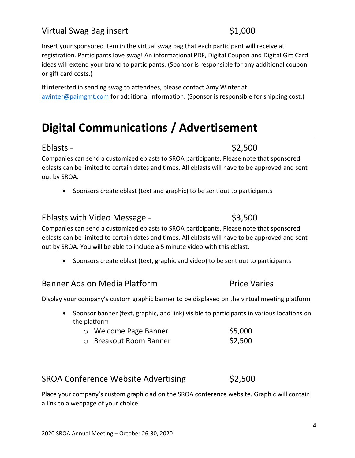## Virtual Swag Bag insert \$1,000

Insert your sponsored item in the virtual swag bag that each participant will receive at registration. Participants love swag! An informational PDF, Digital Coupon and Digital Gift Card ideas will extend your brand to participants. (Sponsor is responsible for any additional coupon or gift card costs.)

If interested in sending swag to attendees, please contact Amy Winter at awinter@paimgmt.com for additional information. (Sponsor is responsible for shipping cost.)

# **Digital Communications / Advertisement**

#### $Eblasts $2,500$

Companies can send a customized eblasts to SROA participants. Please note that sponsored eblasts can be limited to certain dates and times. All eblasts will have to be approved and sent out by SROA.

Sponsors create eblast (text and graphic) to be sent out to participants

#### Eblasts with Video Message -  $$3,500$

Companies can send a customized eblasts to SROA participants. Please note that sponsored eblasts can be limited to certain dates and times. All eblasts will have to be approved and sent out by SROA. You will be able to include a 5 minute video with this eblast.

• Sponsors create eblast (text, graphic and video) to be sent out to participants

## Banner Ads on Media Platform **Price Varies**

Display your company's custom graphic banner to be displayed on the virtual meeting platform

- Sponsor banner (text, graphic, and link) visible to participants in various locations on the platform
	- o Welcome Page Banner **\$5,000** o Breakout Room Banner \$2,500

## SROA Conference Website Advertising \$2,500

Place your company's custom graphic ad on the SROA conference website. Graphic will contain a link to a webpage of your choice.

4